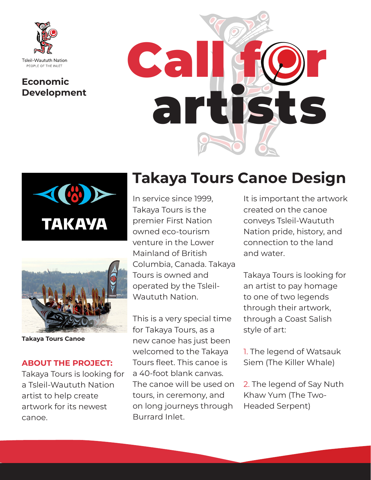

# **Development**







**Takaya Tours Canoe**

### **ABOUT THE PROJECT:**

Takaya Tours is looking for a Tsleil-Waututh Nation artist to help create artwork for its newest canoe.

### **Takaya Tours Canoe Design**

In service since 1999, Takaya Tours is the premier First Nation owned eco-tourism venture in the Lower Mainland of British Columbia, Canada. Takaya Tours is owned and operated by the Tsleil-Waututh Nation.

This is a very special time for Takaya Tours, as a new canoe has just been welcomed to the Takaya Tours fleet. This canoe is a 40-foot blank canvas. The canoe will be used on tours, in ceremony, and on long journeys through Burrard Inlet.

It is important the artwork created on the canoe conveys Tsleil-Waututh Nation pride, history, and connection to the land and water.

Takaya Tours is looking for an artist to pay homage to one of two legends through their artwork, through a Coast Salish style of art:

1. The legend of Watsauk Siem (The Killer Whale)

2. The legend of Say Nuth Khaw Yum (The Two-Headed Serpent)